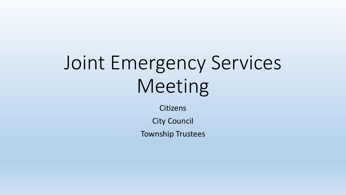# Joint Emergency Services Meeting

**Citizens** 

City Council

Township Trustees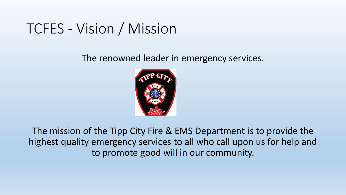## TCFES - Vision / Mission

The renowned leader in emergency services.



The mission of the Tipp City Fire & EMS Department is to provide the highest quality emergency services to all who call upon us for help and to promote good will in our community.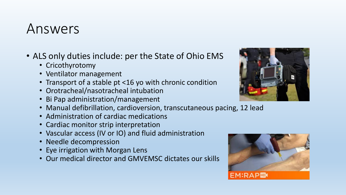#### Answers

- ALS only duties include: per the State of Ohio EMS
	- Cricothyrotomy
	- Ventilator management
	- Transport of a stable pt <16 yo with chronic condition
	- Orotracheal/nasotracheal intubation
	- Bi Pap administration/management
	- Manual defibrillation, cardioversion, transcutaneous pacing, 12 lead
	- Administration of cardiac medications
	- Cardiac monitor strip interpretation
	- Vascular access (IV or IO) and fluid administration
	- Needle decompression
	- Eye irrigation with Morgan Lens
	- Our medical director and GMVEMSC dictates our skills



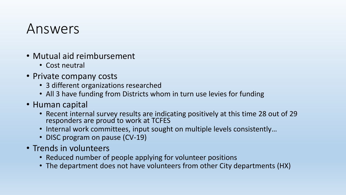#### Answers

- Mutual aid reimbursement
	- Cost neutral
- Private company costs
	- 3 different organizations researched
	- All 3 have funding from Districts whom in turn use levies for funding
- Human capital
	- Recent internal survey results are indicating positively at this time 28 out of 29 responders are proud to work at TCFES
	- Internal work committees, input sought on multiple levels consistently…
	- DISC program on pause (CV-19)
- Trends in volunteers
	- Reduced number of people applying for volunteer positions
	- The department does not have volunteers from other City departments (HX)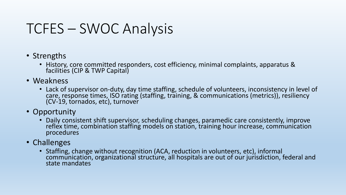## TCFES – SWOC Analysis

- Strengths
	- History, core committed responders, cost efficiency, minimal complaints, apparatus & facilities (CIP & TWP Capital)
- Weakness
	- Lack of supervisor on-duty, day time staffing, schedule of volunteers, inconsistency in level of care, response times, ISO rating (staffing, training, & communications (metrics)), resiliency (CV-19, tornados, etc), turnover
- Opportunity
	- Daily consistent shift supervisor, scheduling changes, paramedic care consistently, improve reflex time, combination staffing models on station, training hour increase, communication procedures
- Challenges
	- Staffing, change without recognition (ACA, reduction in volunteers, etc), informal communication, organizational structure, all hospitals are out of our jurisdiction, federal and state mandates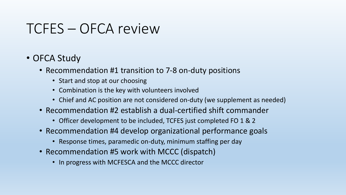#### TCFES – OFCA review

- OFCA Study
	- Recommendation #1 transition to 7-8 on-duty positions
		- Start and stop at our choosing
		- Combination is the key with volunteers involved
		- Chief and AC position are not considered on-duty (we supplement as needed)
	- Recommendation #2 establish a dual-certified shift commander
		- Officer development to be included, TCFES just completed FO 1 & 2
	- Recommendation #4 develop organizational performance goals
		- Response times, paramedic on-duty, minimum staffing per day
	- Recommendation #5 work with MCCC (dispatch)
		- In progress with MCFESCA and the MCCC director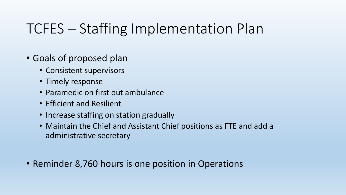# TCFES – Staffing Implementation Plan

- Goals of proposed plan
	- Consistent supervisors
	- Timely response
	- Paramedic on first out ambulance
	- Efficient and Resilient
	- Increase staffing on station gradually
	- Maintain the Chief and Assistant Chief positions as FTE and add a administrative secretary
- Reminder 8,760 hours is one position in Operations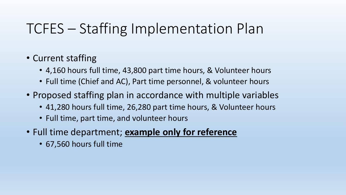## TCFES – Staffing Implementation Plan

- Current staffing
	- 4,160 hours full time, 43,800 part time hours, & Volunteer hours
	- Full time (Chief and AC), Part time personnel, & volunteer hours
- Proposed staffing plan in accordance with multiple variables
	- 41,280 hours full time, 26,280 part time hours, & Volunteer hours
	- Full time, part time, and volunteer hours
- Full time department; **example only for reference**
	- 67,560 hours full time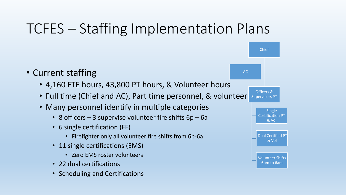# TCFES – Staffing Implementation Plans



- 4,160 FTE hours, 43,800 PT hours, & Volunteer hours
- Full time (Chief and AC), Part time personnel, & volunteer
- Many personnel identify in multiple categories
	- 8 officers  $-$  3 supervise volunteer fire shifts  $6p 6a$
	- 6 single certification (FF)
		- Firefighter only all volunteer fire shifts from 6p-6a
	- 11 single certifications (EMS)
		- Zero EMS roster volunteers
	- 22 dual certifications
	- Scheduling and Certifications

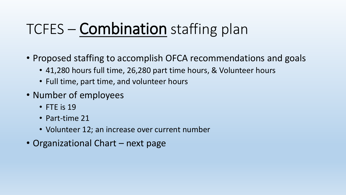# TCFES – Combination staffing plan

- Proposed staffing to accomplish OFCA recommendations and goals
	- 41,280 hours full time, 26,280 part time hours, & Volunteer hours
	- Full time, part time, and volunteer hours
- Number of employees
	- FTE is 19
	- Part-time 21
	- Volunteer 12; an increase over current number
- Organizational Chart next page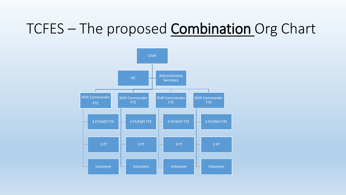# TCFES – The proposed **Combination** Org Chart

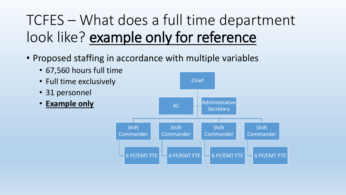# TCFES – What does a full time department look like? example only for reference

• Proposed staffing in accordance with multiple variables

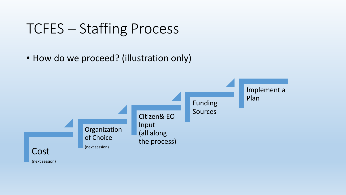#### TCFES – Staffing Process

• How do we proceed? (illustration only)